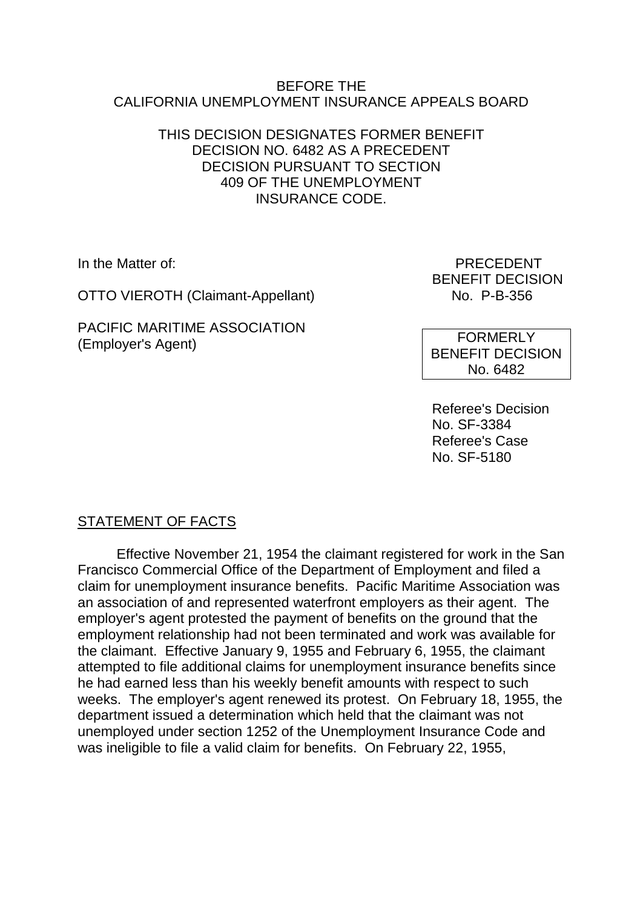#### BEFORE THE CALIFORNIA UNEMPLOYMENT INSURANCE APPEALS BOARD

## THIS DECISION DESIGNATES FORMER BENEFIT DECISION NO. 6482 AS A PRECEDENT DECISION PURSUANT TO SECTION 409 OF THE UNEMPLOYMENT INSURANCE CODE.

OTTO VIEROTH (Claimant-Appellant) No. P-B-356

PACIFIC MARITIME ASSOCIATION (Employer's Agent)

In the Matter of: PRECEDENT BENEFIT DECISION

> FORMERLY BENEFIT DECISION No. 6482

Referee's Decision No. SF-3384 Referee's Case No. SF-5180

# STATEMENT OF FACTS

Effective November 21, 1954 the claimant registered for work in the San Francisco Commercial Office of the Department of Employment and filed a claim for unemployment insurance benefits. Pacific Maritime Association was an association of and represented waterfront employers as their agent. The employer's agent protested the payment of benefits on the ground that the employment relationship had not been terminated and work was available for the claimant. Effective January 9, 1955 and February 6, 1955, the claimant attempted to file additional claims for unemployment insurance benefits since he had earned less than his weekly benefit amounts with respect to such weeks. The employer's agent renewed its protest. On February 18, 1955, the department issued a determination which held that the claimant was not unemployed under section 1252 of the Unemployment Insurance Code and was ineligible to file a valid claim for benefits. On February 22, 1955,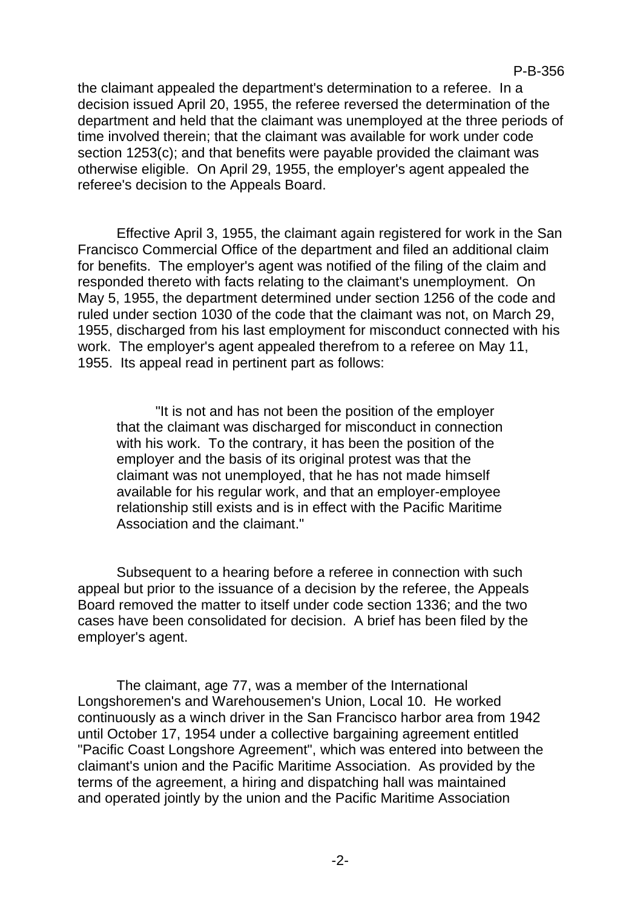the claimant appealed the department's determination to a referee. In a decision issued April 20, 1955, the referee reversed the determination of the department and held that the claimant was unemployed at the three periods of time involved therein; that the claimant was available for work under code section 1253(c); and that benefits were payable provided the claimant was otherwise eligible. On April 29, 1955, the employer's agent appealed the referee's decision to the Appeals Board.

Effective April 3, 1955, the claimant again registered for work in the San Francisco Commercial Office of the department and filed an additional claim for benefits. The employer's agent was notified of the filing of the claim and responded thereto with facts relating to the claimant's unemployment. On May 5, 1955, the department determined under section 1256 of the code and ruled under section 1030 of the code that the claimant was not, on March 29, 1955, discharged from his last employment for misconduct connected with his work. The employer's agent appealed therefrom to a referee on May 11, 1955. Its appeal read in pertinent part as follows:

"It is not and has not been the position of the employer that the claimant was discharged for misconduct in connection with his work. To the contrary, it has been the position of the employer and the basis of its original protest was that the claimant was not unemployed, that he has not made himself available for his regular work, and that an employer-employee relationship still exists and is in effect with the Pacific Maritime Association and the claimant."

Subsequent to a hearing before a referee in connection with such appeal but prior to the issuance of a decision by the referee, the Appeals Board removed the matter to itself under code section 1336; and the two cases have been consolidated for decision. A brief has been filed by the employer's agent.

The claimant, age 77, was a member of the International Longshoremen's and Warehousemen's Union, Local 10. He worked continuously as a winch driver in the San Francisco harbor area from 1942 until October 17, 1954 under a collective bargaining agreement entitled "Pacific Coast Longshore Agreement", which was entered into between the claimant's union and the Pacific Maritime Association. As provided by the terms of the agreement, a hiring and dispatching hall was maintained and operated jointly by the union and the Pacific Maritime Association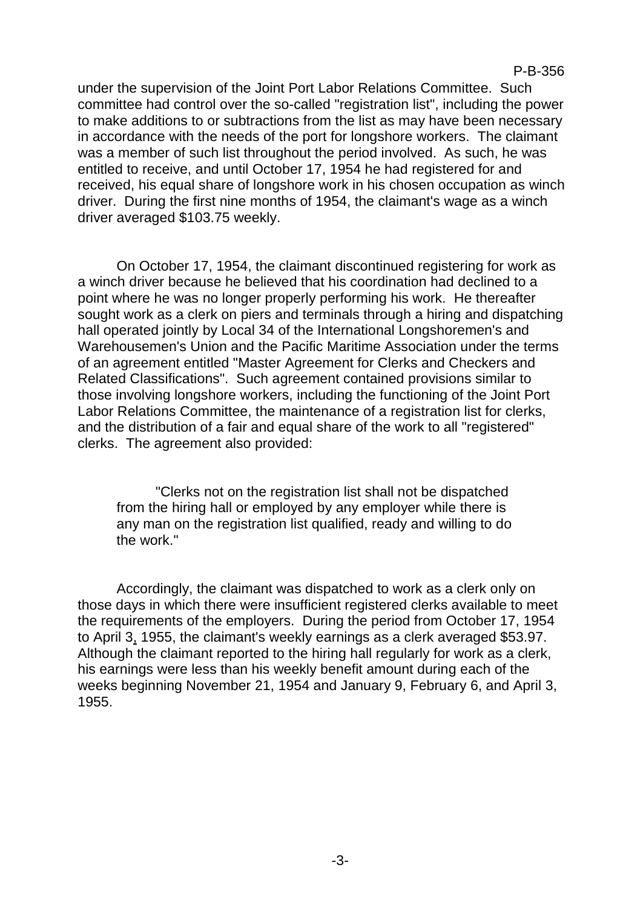P-B-356

under the supervision of the Joint Port Labor Relations Committee. Such committee had control over the so-called "registration list", including the power to make additions to or subtractions from the list as may have been necessary in accordance with the needs of the port for longshore workers. The claimant was a member of such list throughout the period involved. As such, he was entitled to receive, and until October 17, 1954 he had registered for and received, his equal share of longshore work in his chosen occupation as winch driver. During the first nine months of 1954, the claimant's wage as a winch driver averaged \$103.75 weekly.

On October 17, 1954, the claimant discontinued registering for work as a winch driver because he believed that his coordination had declined to a point where he was no longer properly performing his work. He thereafter sought work as a clerk on piers and terminals through a hiring and dispatching hall operated jointly by Local 34 of the International Longshoremen's and Warehousemen's Union and the Pacific Maritime Association under the terms of an agreement entitled "Master Agreement for Clerks and Checkers and Related Classifications". Such agreement contained provisions similar to those involving longshore workers, including the functioning of the Joint Port Labor Relations Committee, the maintenance of a registration list for clerks, and the distribution of a fair and equal share of the work to all "registered" clerks. The agreement also provided:

"Clerks not on the registration list shall not be dispatched from the hiring hall or employed by any employer while there is any man on the registration list qualified, ready and willing to do the work."

Accordingly, the claimant was dispatched to work as a clerk only on those days in which there were insufficient registered clerks available to meet the requirements of the employers. During the period from October 17, 1954 to April 3, 1955, the claimant's weekly earnings as a clerk averaged \$53.97. Although the claimant reported to the hiring hall regularly for work as a clerk, his earnings were less than his weekly benefit amount during each of the weeks beginning November 21, 1954 and January 9, February 6, and April 3, 1955.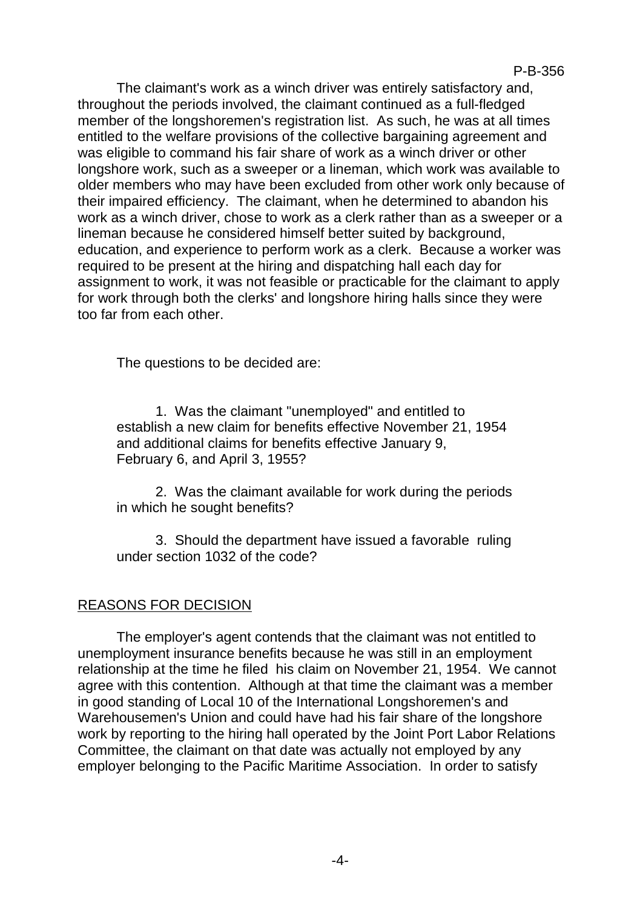The claimant's work as a winch driver was entirely satisfactory and, throughout the periods involved, the claimant continued as a full-fledged member of the longshoremen's registration list. As such, he was at all times entitled to the welfare provisions of the collective bargaining agreement and was eligible to command his fair share of work as a winch driver or other longshore work, such as a sweeper or a lineman, which work was available to older members who may have been excluded from other work only because of their impaired efficiency. The claimant, when he determined to abandon his work as a winch driver, chose to work as a clerk rather than as a sweeper or a lineman because he considered himself better suited by background, education, and experience to perform work as a clerk. Because a worker was required to be present at the hiring and dispatching hall each day for assignment to work, it was not feasible or practicable for the claimant to apply for work through both the clerks' and longshore hiring halls since they were too far from each other.

The questions to be decided are:

1. Was the claimant "unemployed" and entitled to establish a new claim for benefits effective November 21, 1954 and additional claims for benefits effective January 9, February 6, and April 3, 1955?

2. Was the claimant available for work during the periods in which he sought benefits?

3. Should the department have issued a favorable ruling under section 1032 of the code?

## REASONS FOR DECISION

The employer's agent contends that the claimant was not entitled to unemployment insurance benefits because he was still in an employment relationship at the time he filed his claim on November 21, 1954. We cannot agree with this contention. Although at that time the claimant was a member in good standing of Local 10 of the International Longshoremen's and Warehousemen's Union and could have had his fair share of the longshore work by reporting to the hiring hall operated by the Joint Port Labor Relations Committee, the claimant on that date was actually not employed by any employer belonging to the Pacific Maritime Association. In order to satisfy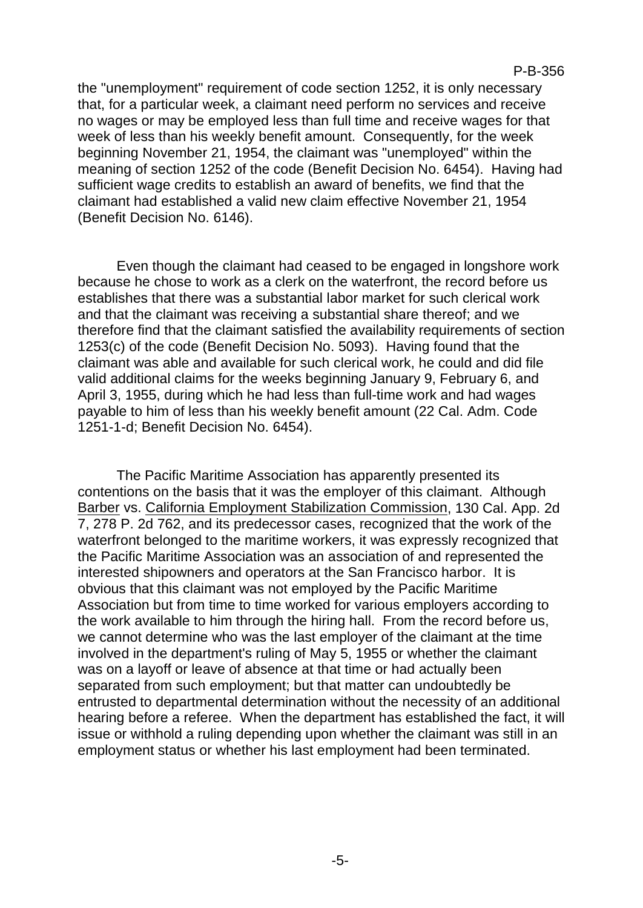the "unemployment" requirement of code section 1252, it is only necessary that, for a particular week, a claimant need perform no services and receive no wages or may be employed less than full time and receive wages for that week of less than his weekly benefit amount. Consequently, for the week beginning November 21, 1954, the claimant was "unemployed" within the meaning of section 1252 of the code (Benefit Decision No. 6454). Having had sufficient wage credits to establish an award of benefits, we find that the claimant had established a valid new claim effective November 21, 1954 (Benefit Decision No. 6146).

Even though the claimant had ceased to be engaged in longshore work because he chose to work as a clerk on the waterfront, the record before us establishes that there was a substantial labor market for such clerical work and that the claimant was receiving a substantial share thereof; and we therefore find that the claimant satisfied the availability requirements of section 1253(c) of the code (Benefit Decision No. 5093). Having found that the claimant was able and available for such clerical work, he could and did file valid additional claims for the weeks beginning January 9, February 6, and April 3, 1955, during which he had less than full-time work and had wages payable to him of less than his weekly benefit amount (22 Cal. Adm. Code 1251-1-d; Benefit Decision No. 6454).

The Pacific Maritime Association has apparently presented its contentions on the basis that it was the employer of this claimant. Although Barber vs. California Employment Stabilization Commission, 130 Cal. App. 2d 7, 278 P. 2d 762, and its predecessor cases, recognized that the work of the waterfront belonged to the maritime workers, it was expressly recognized that the Pacific Maritime Association was an association of and represented the interested shipowners and operators at the San Francisco harbor. It is obvious that this claimant was not employed by the Pacific Maritime Association but from time to time worked for various employers according to the work available to him through the hiring hall. From the record before us, we cannot determine who was the last employer of the claimant at the time involved in the department's ruling of May 5, 1955 or whether the claimant was on a layoff or leave of absence at that time or had actually been separated from such employment; but that matter can undoubtedly be entrusted to departmental determination without the necessity of an additional hearing before a referee. When the department has established the fact, it will issue or withhold a ruling depending upon whether the claimant was still in an employment status or whether his last employment had been terminated.